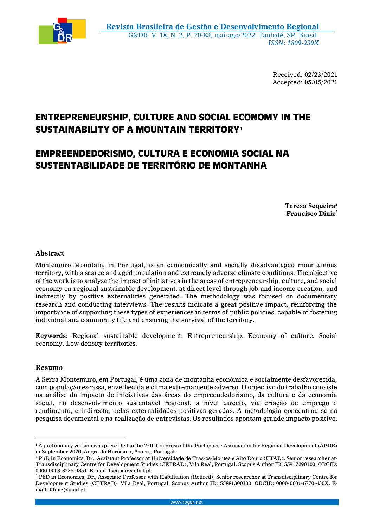

Received: 02/23/2021 Accepted: 05/05/2021

# **ENTREPRENEURSHIP, CULTURE AND SOCIAL ECONOMY IN THE SUSTAINABILITY OF A MOUNTAIN TERRITORY<sup>1</sup>**

# **EMPREENDEDORISMO, CULTURA E ECONOMIA SOCIAL NA SUSTENTABILIDADE DE TERRITÓRIO DE MONTANHA**

**Teresa Sequeira<sup>2</sup> Francisco Diniz<sup>3</sup>**

# **Abstract**

Montemuro Mountain, in Portugal, is an economically and socially disadvantaged mountainous territory, with a scarce and aged population and extremely adverse climate conditions. The objective of the work is to analyze the impact of initiatives in the areas of entrepreneurship, culture, and social economy on regional sustainable development, at direct level through job and income creation, and indirectly by positive externalities generated. The methodology was focused on documentary research and conducting interviews. The results indicate a great positive impact, reinforcing the importance of supporting these types of experiences in terms of public policies, capable of fostering individual and community life and ensuring the survival of the territory.

**Keywords:** Regional sustainable development. Entrepreneurship. Economy of culture. Social economy. Low density territories.

## **Resumo**

A Serra Montemuro, em Portugal, é uma zona de montanha económica e socialmente desfavorecida, com população escassa, envelhecida e clima extremamente adverso. O objectivo do trabalho consiste na análise do impacto de iniciativas das áreas do empreendedorismo, da cultura e da economia social, no desenvolvimento sustentável regional, a nível directo, via criação de emprego e rendimento, e indirecto, pelas externalidades positivas geradas. A metodologia concentrou-se na pesquisa documental e na realização de entrevistas. Os resultados apontam grande impacto positivo,

 $\overline{a}$ <sup>1</sup> A preliminary version was presented to the 27th Congress of the Portuguese Association for Regional Development (APDR) in September 2020, Angra do Heroísmo, Azores, Portugal.

<sup>2</sup> PhD in Economics, Dr., Assistant Professor at Universidade de Trás-os-Montes e Alto Douro (UTAD). Senior researcher at-Transdisciplinary Centre for Development Studies (CETRAD), Vila Real, Portugal. Scopus Author ID: 55917290100. ORCID: 0000-0003-3238-0354. E-mail: tsequeir@utad.pt

<sup>3</sup> PhD in Economics, Dr., Associate Professor with Habilitation (Retired), Senior researcher at Transdisciplinary Centre for Development Studies (CETRAD), Vila Real, Portugal. Scopus Author ID: 55881300300. ORCID: 0000-0001-6770-430X. Email: fdiniz@utad.pt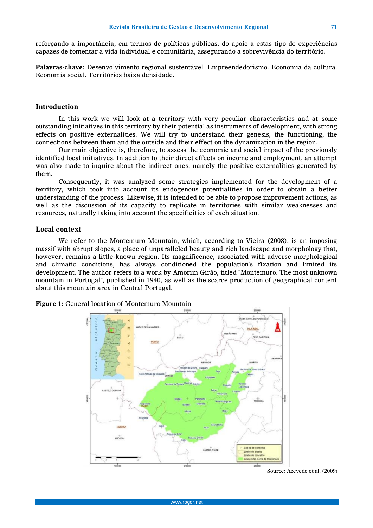reforçando a importância, em termos de políticas públicas, do apoio a estas tipo de experiências capazes de fomentar a vida individual e comunitária, assegurando a sobrevivência do território.

**Palavras-chave***:* Desenvolvimento regional sustentável. Empreendedorismo. Economia da cultura. Economia social. Territórios baixa densidade.

#### **Introduction**

In this work we will look at a territory with very peculiar characteristics and at some outstanding initiatives in this territory by their potential as instruments of development, with strong effects on positive externalities. We will try to understand their genesis, the functioning, the connections between them and the outside and their effect on the dynamization in the region.

Our main objective is, therefore, to assess the economic and social impact of the previously identified local initiatives. In addition to their direct effects on income and employment, an attempt was also made to inquire about the indirect ones, namely the positive externalities generated by them.

Consequently, it was analyzed some strategies implemented for the development of a territory, which took into account its endogenous potentialities in order to obtain a better understanding of the process. Likewise, it is intended to be able to propose improvement actions, as well as the discussion of its capacity to replicate in territories with similar weaknesses and resources, naturally taking into account the specificities of each situation.

#### **Local context**

We refer to the Montemuro Mountain, which, according to Vieira (2008), is an imposing massif with abrupt slopes, a place of unparalleled beauty and rich landscape and morphology that, however, remains a little-known region. Its magnificence, associated with adverse morphological and climatic conditions, has always conditioned the population's fixation and limited its development. The author refers to a work by Amorim Girão, titled "Montemuro. The most unknown mountain in Portugal", published in 1940, as well as the scarce production of geographical content about this mountain area in Central Portugal.

**Figure 1:** General location of Montemuro Mountain



Source: Azevedo et al. (2009)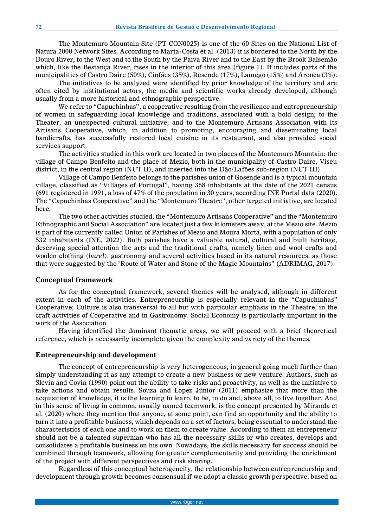The Montemuro Mountain Site (PT CON0025) is one of the 60 Sites on the National List of Natura 2000 Network Sites. According to Marta-Costa et al. (2013) it is bordered to the North by the Douro River, to the West and to the South by the Paiva River and to the East by the Brook Balsemão which, like the Bestança River, rises in the interior of this área (figure 1). It includes parts of the municipalities of Castro Daire (50%), Cinfães (35%), Resende (17%), Lamego (15%) and Arouca (3%).

The initiatives to be analyzed were identified by prior knowledge of the territory and are often cited by institutional actors, the media and scientific works already developed, although usually from a more historical and ethnographic perspective.

We refer to "Capuchinhas", a cooperative resulting from the resilience and entrepreneurship of women in safeguarding local knowledge and traditions, associated with a bold design; to the Theater, an unexpected cultural initiative; and to the Montemuro Artisans Association with its Artisans Cooperative, which, in addition to promoting, encouraging and disseminating local handicrafts, has successfully restored local cuisine in its restaurant, and also provided social services support.

The activities studied in this work are located in two places of the Montemuro Mountain: the village of Campo Benfeito and the place of Mezio, both in the municipality of Castro Daire, Viseu district, in the central region (NUT II), and inserted into the Dão/Lafões sub-region (NUT III).

Village of Campo Benfeito belongs to the parishes union of Gosende and is a typical mountain village, classified as "Villages of Portugal", having 368 inhabitants at the date of the 2021 census (691 registered in 1991, a loss of 47% of the population in 30 years, according INE Portal data (2020). The "Capuchinhas Cooperative" and the "Montemuro Theatre", other targeted initiative, are located here.

The two other activities studied, the "Montemuro Artisans Cooperative" and the "Montemuro Ethnographic and Social Association" are located just a few kilometers away, at the Mezio site. Mezio is part of the currently called Union of Parishes of Mezio and Moura Morta, with a population of only 532 inhabitants (INE, 2022). Both parishes have a valuable natural, cultural and built heritage, deserving special attention the arts and the traditional crafts, namely linen and wool crafts and woolen clothing (*burel*), gastronomy and several activities based in its natural resources, as those that were suggested by the "Route of Water and Stone of the Magic Mountains" (ADRIMAG, 2017).

#### **Conceptual framework**

As for the conceptual framework, several themes will be analysed, although in different extent in each of the activities. Entrepreneurship is especially relevant in the "Capuchinhas" Cooperative; Culture is also transversal to all but with particular emphasis in the Theatre, in the craft activities of Cooperative and in Gastronomy. Social Economy is particularly important in the work of the Association.

Having identified the dominant thematic areas, we will proceed with a brief theoretical reference, which is necessarily incomplete given the complexity and variety of the themes.

#### **Entrepreneurship and development**

The concept of entrepreneurship is very heterogeneous, in general going much further than simply understanding it as any attempt to create a new business or new venture. Authors, such as Slevin and Covin (1990) point out the ability to take risks and proactivity, as well as the initiative to take actions and obtain results. Souza and Lopez Júnior (2011) emphasize that more than the acquisition of knowledge, it is the learning to learn, to be, to do and, above all, to live together. And in this sense of living in common, usually named teamwork, is the concept presented by Miranda et al. (2020) where they mention that anyone, at some point, can find an opportunity and the ability to turn it into a profitable business, which depends on a set of factors, being essential to understand the characteristics of each one and to work on them to create value. According to them an entrepreneur should not be a talented superman who has all the necessary skills or who creates, develops and consolidates a profitable business on his own. Nowadays, the skills necessary for success should be combined through teamwork, allowing for greater complementarity and providing the enrichment of the project with different perspectives and risk sharing.

Regardless of this conceptual heterogeneity, the relationship between entrepreneurship and development through growth becomes consensual if we adopt a classic growth perspective, based on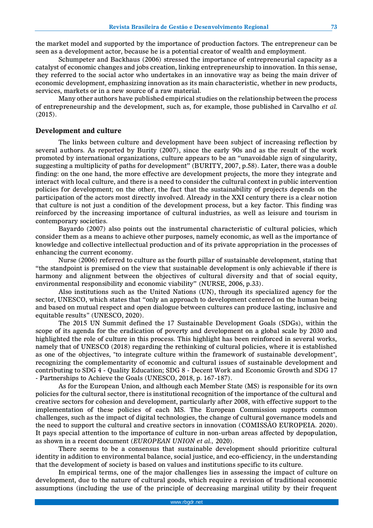the market model and supported by the importance of production factors. The entrepreneur can be seen as a development actor, because he is a potential creator of wealth and employment.

Schumpeter and Backhaus (2006) stressed the importance of entrepreneurial capacity as a catalyst of economic changes and jobs creation, linking entrepreneurship to innovation. In this sense, they referred to the social actor who undertakes in an innovative way as being the main driver of economic development, emphasizing innovation as its main characteristic, whether in new products, services, markets or in a new source of a raw material.

Many other authors have published empirical studies on the relationship between the process of entrepreneurship and the development, such as, for example, those published in Carvalho *et al.*  (2015).

#### **Development and culture**

The links between culture and development have been subject of increasing reflection by several authors. As reported by Burity (2007), since the early 90s and as the result of the work promoted by international organizations, culture appears to be an "unavoidable sign of singularity, suggesting a multiplicity of paths for development" (BURITY, 2007, p.58). Later, there was a double finding: on the one hand, the more effective are development projects, the more they integrate and interact with local culture, and there is a need to consider the cultural context in public intervention policies for development; on the other, the fact that the sustainability of projects depends on the participation of the actors most directly involved. Already in the XXI century there is a clear notion that culture is not just a condition of the development process, but a key factor. This finding was reinforced by the increasing importance of cultural industries, as well as leisure and tourism in contemporary societies.

Bayardo (2007) also points out the instrumental characteristic of cultural policies, which consider them as a means to achieve other purposes, namely economic, as well as the importance of knowledge and collective intellectual production and of its private appropriation in the processes of enhancing the current economy.

Nurse (2006) referred to culture as the fourth pillar of sustainable development, stating that "the standpoint is premised on the view that sustainable development is only achievable if there is harmony and alignment between the objectives of cultural diversity and that of social equity, environmental responsibility and economic viability" (NURSE, 2006, p.33).

Also institutions such as the United Nations (UN), through its specialized agency for the sector, UNESCO, which states that "only an approach to development centered on the human being and based on mutual respect and open dialogue between cultures can produce lasting, inclusive and equitable results*"* (UNESCO, 2020).

The 2015 UN Summit defined the 17 Sustainable Development Goals (SDGs), within the scope of its agenda for the eradication of poverty and development on a global scale by 2030 and highlighted the role of culture in this process. This highlight has been reinforced in several works, namely that of UNESCO (2018) regarding the rethinking of cultural policies, where it is established as one of the objectives, "to integrate culture within the framework of sustainable development", recognizing the complementarity of economic and cultural issues of sustainable development and contributing to SDG 4 - Quality Education; SDG 8 - Decent Work and Economic Growth and SDG 17 - Partnerships to Achieve the Goals (UNESCO, 2018, p. 167-187).

As for the European Union, and although each Member State (MS) is responsible for its own policies for the cultural sector, there is institutional recognition of the importance of the cultural and creative sectors for cohesion and development, particularly after 2008, with effective support to the implementation of these policies of each MS. The European Commission supports common challenges, such as the impact of digital technologies, the change of cultural governance models and the need to support the cultural and creative sectors in innovation (COMISSÃO EUROPEIA. 2020). It pays special attention to the importance of culture in non-urban areas affected by depopulation, as shown in a recent document (*EUROPEAN UNION et al.,* 2020).

There seems to be a consensus that sustainable development should prioritize cultural identity in addition to environmental balance, social justice, and eco-efficiency, in the understanding that the development of society is based on values and institutions specific to its culture.

In empirical terms, one of the major challenges lies in assessing the impact of culture on development, due to the nature of cultural goods, which require a revision of traditional economic assumptions (including the use of the principle of decreasing marginal utility by their frequent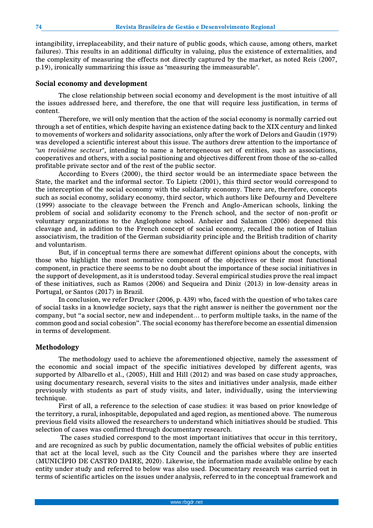intangibility, irreplaceability, and their nature of public goods, which cause, among others, market failures). This results in an additional difficulty in valuing, plus the existence of externalities, and the complexity of measuring the effects not directly captured by the market, as noted Reis (2007, p.19), ironically summarizing this issue as "measuring the immeasurable".

#### **Social economy and development**

The close relationship between social economy and development is the most intuitive of all the issues addressed here, and therefore, the one that will require less justification, in terms of content.

Therefore, we will only mention that the action of the social economy is normally carried out through a set of entities, which despite having an existence dating back to the XIX century and linked to movements of workers and solidarity associations, only after the work of Delors and Gaudin (1979) was developed a scientific interest about this issue. The authors drew attention to the importance of "*un troisième secteur*", intending to name a heterogeneous set of entities, such as associations, cooperatives and others, with a social positioning and objectives different from those of the so-called profitable private sector and of the rest of the public sector.

According to Evers (2000), the third sector would be an intermediate space between the State, the market and the informal sector. To Lipietz (2001), this third sector would correspond to the interception of the social economy with the solidarity economy. There are, therefore, concepts such as social economy, solidary economy, third sector, which authors like Defourny and Develtere (1999) associate to the cleavage between the French and Anglo-American schools, linking the problem of social and solidarity economy to the French school, and the sector of non-profit or voluntary organizations to the Anglophone school. Anheier and Salamon (2006) deepened this cleavage and, in addition to the French concept of social economy, recalled the notion of Italian associativism, the tradition of the German subsidiarity principle and the British tradition of charity and voluntarism.

But, if in conceptual terms there are somewhat different opinions about the concepts, with those who highlight the most normative component of the objectives or their most functional component, in practice there seems to be no doubt about the importance of these social initiatives in the support of development, as it is understood today. Several empirical studies prove the real impact of these initiatives, such as Ramos (2006) and Sequeira and Diniz (2013) in low-density areas in Portugal, or Santos (2017) in Brazil.

In conclusion, we refer Drucker (2006, p. 439) who, faced with the question of who takes care of social tasks in a knowledge society, says that the right answer is neither the government nor the company, but "a social sector, new and independent… to perform multiple tasks, in the name of the common good and social cohesion". The social economy has therefore become an essential dimension in terms of development.

### **Methodology**

The methodology used to achieve the aforementioned objective, namely the assessment of the economic and social impact of the specific initiatives developed by different agents, was supported by Albarello et al., (2005), Hill and Hill (2012) and was based on case study approaches, using documentary research, several visits to the sites and initiatives under analysis, made either previously with students as part of study visits, and later, individually, using the interviewing technique.

First of all, a reference to the selection of case studies: it was based on prior knowledge of the territory, a rural, inhospitable, depopulated and aged region, as mentioned above. The numerous previous field visits allowed the researchers to understand which initiatives should be studied. This selection of cases was confirmed through documentary research.

The cases studied correspond to the most important initiatives that occur in this territory, and are recognized as such by public documentation, namely the official websites of public entities that act at the local level, such as the City Council and the parishes where they are inserted (MUNICÍPIO DE CASTRO DAIRE, 2020). Likewise, the information made available online by each entity under study and referred to below was also used. Documentary research was carried out in terms of scientific articles on the issues under analysis, referred to in the conceptual framework and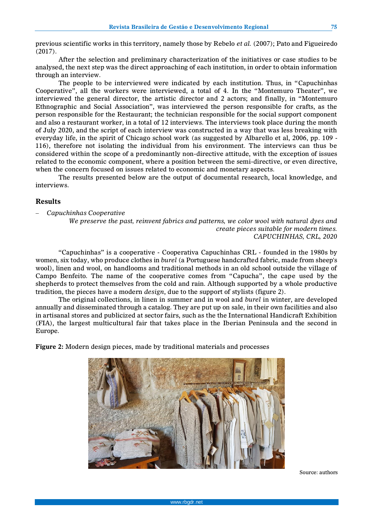**75**

previous scientific works in this territory, namely those by Rebelo *et al.* (2007); Pato and Figueiredo (2017).

After the selection and preliminary characterization of the initiatives or case studies to be analysed, the next step was the direct approaching of each institution, in order to obtain information through an interview.

The people to be interviewed were indicated by each institution. Thus, in "Capuchinhas Cooperative", all the workers were interviewed, a total of 4. In the "Montemuro Theater", we interviewed the general director, the artistic director and 2 actors; and finally, in "Montemuro Ethnographic and Social Association", was interviewed the person responsible for crafts, as the person responsible for the Restaurant; the technician responsible for the social support component and also a restaurant worker, in a total of 12 interviews. The interviews took place during the month of July 2020, and the script of each interview was constructed in a way that was less breaking with everyday life, in the spirit of Chicago school work (as suggested by Albarello et al, 2006, pp. 109 - 116), therefore not isolating the individual from his environment. The interviews can thus be considered within the scope of a predominantly non-directive attitude, with the exception of issues related to the economic component, where a position between the semi-directive, or even directive, when the concern focused on issues related to economic and monetary aspects.

The results presented below are the output of documental research, local knowledge, and interviews.

## **Results**

− *Capuchinhas Cooperative*

*We preserve the past, reinvent fabrics and patterns, we color wool with natural dyes and create pieces suitable for modern times. CAPUCHINHAS, CRL, 2020*

"Capuchinhas" is a cooperative - Cooperativa Capuchinhas CRL - founded in the 1980s by women, six today, who produce clothes in *burel* (a Portuguese handcrafted fabric, made from sheep's wool), linen and wool, on handlooms and traditional methods in an old school outside the village of Campo Benfeito. The name of the cooperative comes from "Capucha", the cape used by the shepherds to protect themselves from the cold and rain. Although supported by a whole productive tradition, the pieces have a modern *design*, due to the support of stylists (figure 2).

The original collections, in linen in summer and in wool and *burel* in winter, are developed annually and disseminated through a catalog. They are put up on sale, in their own facilities and also in artisanal stores and publicized at sector fairs, such as the the International Handicraft Exhibition (FIA), the largest multicultural fair that takes place in the Iberian Peninsula and the second in Europe.

**Figure 2:** Modern design pieces, made by traditional materials and processes



Source: authors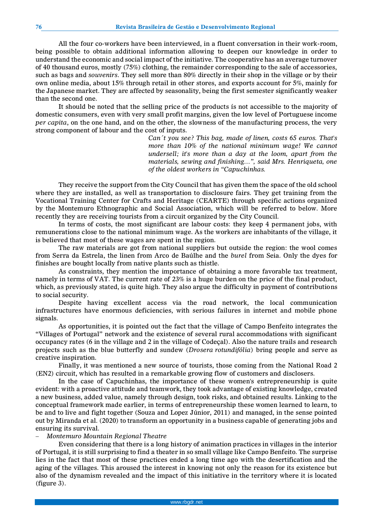All the four co-workers have been interviewed, in a fluent conversation in their work-room, being possible to obtain additional information allowing to deepen our knowledge in order to understand the economic and social impact of the initiative. The cooperative has an average turnover of 40 thousand euros, mostly (75%) clothing, the remainder corresponding to the sale of accessories, such as bags and *souvenirs*. They sell more than 80% directly in their shop in the village or by their own online media, about 15% through retail in other stores, and exports account for 5%, mainly for the Japanese market. They are affected by seasonality, being the first semester significantly weaker than the second one.

It should be noted that the selling price of the products ís not accessible to the majority of domestic consumers, even with very small profit margins, given the low level of Portuguese income *per capita*, on the one hand, and on the other, the slowness of the manufacturing process, the very strong component of labour and the cost of inputs.

> *Can´t you see? This bag, made of linen, costs 65 euros. That's more than 10% of the national minimum wage! We cannot undersell; it's more than a day at the loom, apart from the materials, sewing and finishing…", said Mrs. Henriqueta, one of the oldest workers in "Capuchinhas.*

They receive the support from the City Council that has given them the space of the old school where they are installed, as well as transportation to disclosure fairs. They get training from the Vocational Training Center for Crafts and Heritage (CEARTE) through specific actions organized by the Montemuro Ethnographic and Social Association, which will be referred to below. More recently they are receiving tourists from a circuit organized by the City Council.

In terms of costs, the most significant are labour costs: they keep 4 permanent jobs, with remunerations close to the national minimum wage. As the workers are inhabitants of the village, it is believed that most of these wages are spent in the region.

The raw materials are got from national suppliers but outside the region: the wool comes from Serra da Estrela, the linen from Arco de Baúlhe and the *burel* from Seia. Only the dyes for finishes are bought locally from native plants such as thistle.

As constraints, they mention the importance of obtaining a more favorable tax treatment, namely in terms of VAT. The current rate of 23% is a huge burden on the price of the final product, which, as previously stated, is quite high. They also argue the difficulty in payment of contributions to social security.

Despite having excellent access via the road network, the local communication infrastructures have enormous deficiencies, with serious failures in internet and mobile phone signals.

As opportunities, it is pointed out the fact that the village of Campo Benfeito integrates the "Villages of Portugal" network and the existence of several rural accommodations with significant occupancy rates (6 in the village and 2 in the village of Codeçal). Also the nature trails and research projects such as the blue butterfly and sundew (*Drosera rotundifólia*) bring people and serve as creative inspiration.

Finally, it was mentioned a new source of tourists, those coming from the National Road 2 (EN2) circuit, which has resulted in a remarkable growing flow of customers and disclosers.

In the case of Capuchinhas, the importance of these women's entrepreneurship is quite evident: with a proactive attitude and teamwork, they took advantage of existing knowledge, created a new business, added value, namely through design, took risks, and obtained results. Linking to the conceptual framework made earlier, in terms of entrepreneurship these women learned to learn, to be and to live and fight together (Souza and Lopez Júnior, 2011) and managed, in the sense pointed out by Miranda et al. (2020) to transform an opportunity in a business capable of generating jobs and ensuring its survival.

− *Montemuro Mountain Regional Theatre*

Even considering that there is a long history of animation practices in villages in the interior of Portugal, it is still surprising to find a theater in so small village like Campo Benfeito. The surprise lies in the fact that most of these practices ended a long time ago with the desertification and the aging of the villages. This aroused the interest in knowing not only the reason for its existence but also of the dynamism revealed and the impact of this initiative in the territory where it is located (figure 3).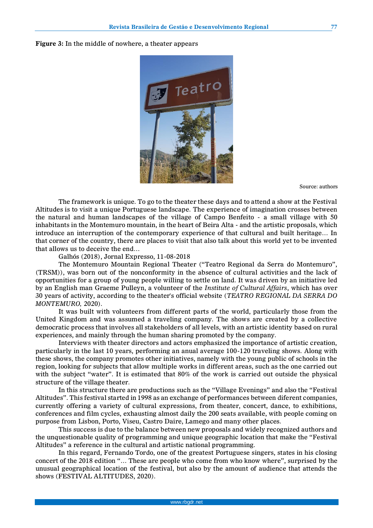**Figure 3:** In the middle of nowhere, a theater appears



Source: authors

The framework is unique. To go to the theater these days and to attend a show at the Festival Altitudes is to visit a unique Portuguese landscape. The experience of imagination crosses between the natural and human landscapes of the village of Campo Benfeito - a small village with 50 inhabitants in the Montemuro mountain, in the heart of Beira Alta - and the artistic proposals, which introduce an interruption of the contemporary experience of that cultural and built heritage… In that corner of the country, there are places to visit that also talk about this world yet to be invented that allows us to deceive the end…

Galhós (2018), Jornal Expresso, 11-08-2018

The Montemuro Mountain Regional Theater ("Teatro Regional da Serra do Montemuro", (TRSM)), was born out of the nonconformity in the absence of cultural activities and the lack of opportunities for a group of young people willing to settle on land. It was driven by an initiative led by an English man Graeme Pulleyn, a volunteer of the *Institute of Cultural Affairs*, which has over 30 years of activity, according to the theater's official website (*TEATRO REGIONAL DA SERRA DO MONTEMURO,* 2020).

It was built with volunteers from different parts of the world, particularly those from the United Kingdom and was assumed a traveling company. The shows are created by a collective democratic process that involves all stakeholders of all levels, with an artistic identity based on rural experiences, and mainly through the human sharing promoted by the company.

Interviews with theater directors and actors emphasized the importance of artistic creation, particularly in the last 10 years, performing an anual average 100-120 traveling shows. Along with these shows, the company promotes other initiatives, namely with the young public of schools in the region, looking for subjects that allow multiple works in different areas, such as the one carried out with the subject "water". It is estimated that 80% of the work is carried out outside the physical structure of the village theater.

In this structure there are productions such as the "Village Evenings" and also the "Festival Altitudes". This festival started in 1998 as an exchange of performances between diferent companies, currently offering a variety of cultural expressions, from theater, concert, dance, to exhibitions, conferences and film cycles, exhausting almost daily the 200 seats available, with people coming on purpose from Lisbon, Porto, Viseu, Castro Daire, Lamego and many other places.

This success is due to the balance between new proposals and widely recognized authors and the unquestionable quality of programming and unique geographic location that make the "Festival Altitudes" a reference in the cultural and artistic national programming.

In this regard, Fernando Tordo, one of the greatest Portuguese singers, states in his closing concert of the 2018 edition "… These are people who come from who know where", surprised by the unusual geographical location of the festival, but also by the amount of audience that attends the shows (FESTIVAL ALTITUDES, 2020).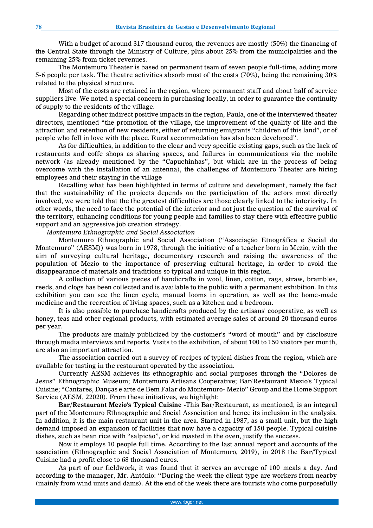With a budget of around 317 thousand euros, the revenues are mostly (50%) the financing of the Central State through the Ministry of Culture, plus about 25% from the municipalities and the remaining 25% from ticket revenues.

The Montemuro Theater is based on permanent team of seven people full-time, adding more 5-6 people per task. The theatre activities absorb most of the costs (70%), being the remaining 30% related to the physical structure.

Most of the costs are retained in the region, where permanent staff and about half of service suppliers live. We noted a special concern in purchasing locally, in order to guarantee the continuity of supply to the residents of the village.

Regarding other indirect positive impacts in the region, Paula, one of the interviewed theater directors, mentioned "the promotion of the village, the improvement of the quality of life and the attraction and retention of new residents, either of returning emigrants "children of this land", or of people who fell in love with the place. Rural accommodation has also been developed".

As for difficulties, in addition to the clear and very specific existing gaps, such as the lack of restaurants and coffe shops as sharing spaces, and failures in communications via the mobile network (as already mentioned by the "Capuchinhas", but which are in the process of being overcome with the installation of an antenna), the challenges of Montemuro Theater are hiring employees and their staying in the village

Recalling what has been highlighted in terms of culture and development, namely the fact that the sustainability of the projects depends on the participation of the actors most directly involved, we were told that the the greatest difficulties are those clearly linked to the interiority. In other words, the need to face the potential of the interior and not just the question of the survival of the territory, enhancing conditions for young people and families to stay there with effective public support and an aggressive job creation strategy.

− *Montemuro Ethnographic and Social Association*

Montemuro Ethnographic and Social Association ("Associação Etnográfica e Social do Montemuro" (AESM)) was born in 1978, through the initiative of a teacher born in Mezio, with the aim of surveying cultural heritage, documentary research and raising the awareness of the population of Mezio to the importance of preserving cultural heritage, in order to avoid the disappearance of materials and traditions so typical and unique in this region.

A collection of various pieces of handicrafts in wool, linen, cotton, rags, straw, brambles, reeds, and clogs has been collected and is available to the public with a permanent exhibition. In this exhibition you can see the linen cycle, manual looms in operation, as well as the home-made medicine and the recreation of living spaces, such as a kitchen and a bedroom.

It is also possible to purchase handicrafts produced by the artisans' cooperative, as well as honey, teas and other regional products, with estimated average sales of around 20 thousand euros per year.

The products are mainly publicized by the customer's "word of mouth" and by disclosure through media interviews and reports. Visits to the exhibition, of about 100 to 150 visitors per month, are also an important attraction.

The association carried out a survey of recipes of typical dishes from the region, which are available for tasting in the restaurant operated by the association.

Currently AESM achieves its ethnographic and social purposes through the "Dolores de Jesus" Ethnographic Museum; Montemuro Artisans Cooperative; Bar/Restaurant Mezio's Typical Cuisine; "Cantares, Danças e arte de Bem Falar do Montemuro- Mezio" Group and the Home Support Service (AESM, 22020). From these initiatives, we highlight:

**Bar/Restaurant Mezio's Typical Cuisine -**This Bar/Restaurant, as mentioned, is an integral part of the Montemuro Ethnographic and Social Association and hence its inclusion in the analysis. In addition, it is the main restaurant unit in the area. Started in 1987, as a small unit, but the high demand imposed an expansion of facilities that now have a capacity of 150 people. Typical cuisine dishes, such as bean rice with "salpicão", or kid roasted in the oven, justify the success.

Now it employs 10 people full time. According to the last annual report and accounts of the association (Ethnographic and Social Association of Montemuro, 2019), in 2018 the Bar/Typical Cuisine had a profit close to 68 thousand euros.

As part of our fieldwork, it was found that it serves an average of 100 meals a day. And according to the manager, Mr. António: "During the week the client type are workers from nearby (mainly from wind units and dams). At the end of the week there are tourists who come purposefully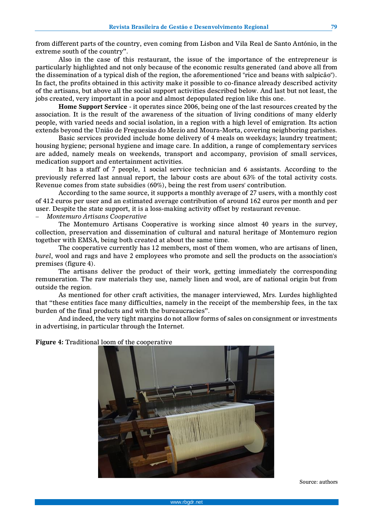from different parts of the country, even coming from Lisbon and Vila Real de Santo António, in the extreme south of the country".

Also in the case of this restaurant, the issue of the importance of the entrepreneur is particularly highlighted and not only because of the economic results generated (and above all from the dissemination of a typical dish of the region, the aforementioned "rice and beans with salpicão"). In fact, the profits obtained in this activity make it possible to co-finance already described activity of the artisans, but above all the social support activities described below. And last but not least, the jobs created, very important in a poor and almost depopulated region like this one.

**Home Support Service** - it operates since 2006, being one of the last resources created by the association. It is the result of the awareness of the situation of living conditions of many elderly people, with varied needs and social isolation, in a region with a high level of emigration. Its action extends beyond the União de Freguesias do Mezio and Moura-Morta, covering neighboring parishes.

Basic services provided include home delivery of 4 meals on weekdays; laundry treatment; housing hygiene; personal hygiene and image care. In addition, a range of complementary services are added, namely meals on weekends, transport and accompany, provision of small services, medication support and entertainment activities.

It has a staff of 7 people, 1 social service technician and 6 assistants. According to the previously referred last annual report, the labour costs are about 63% of the total activity costs. Revenue comes from state subsidies (60%), being the rest from users' contribution.

According to the same source, it supports a monthly average of 27 users, with a monthly cost of 412 euros per user and an estimated average contribution of around 162 euros per month and per user. Despite the state support, it is a loss-making activity offset by restaurant revenue.

− *Montemuro Artisans Cooperative* 

The Montemuro Artisans Cooperative is working since almost 40 years in the survey, collection, preservation and dissemination of cultural and natural heritage of Montemuro region together with EMSA, being both created at about the same time.

The cooperative currently has 12 members, most of them women, who are artisans of linen, *burel*, wool and rags and have 2 employees who promote and sell the products on the association's premises (figure 4).

The artisans deliver the product of their work, getting immediately the corresponding remuneration. The raw materials they use, namely linen and wool, are of national origin but from outside the region.

As mentioned for other craft activities, the manager interviewed, Mrs. Lurdes highlighted that "these entities face many difficulties, namely in the receipt of the membership fees, in the tax burden of the final products and with the bureaucracies".

And indeed, the very tight margins do not allow forms of sales on consignment or investments in advertising, in particular through the Internet.

**Figure 4:** Traditional loom of the cooperative

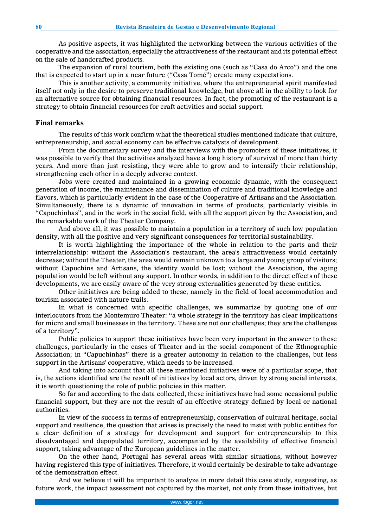As positive aspects, it was highlighted the networking between the various activities of the cooperative and the association, especially the attractiveness of the restaurant and its potential effect on the sale of handcrafted products.

The expansion of rural tourism, both the existing one (such as "Casa do Arco") and the one that is expected to start up in a near future ("Casa Tomé") create many expectations.

This is another activity, a community initiative, where the entrepreneurial spirit manifested itself not only in the desire to preserve traditional knowledge, but above all in the ability to look for an alternative source for obtaining financial resources. In fact, the promoting of the restaurant is a strategy to obtain financial resources for craft activities and social support.

#### **Final remarks**

The results of this work confirm what the theoretical studies mentioned indicate that culture, entrepreneurship, and social economy can be effective catalysts of development.

From the documentary survey and the interviews with the promoters of these initiatives, it was possible to verify that the activities analyzed have a long history of survival of more than thirty years. And more than just resisting, they were able to grow and to intensify their relationship, strengthening each other in a deeply adverse context.

Jobs were created and maintained in a growing economic dynamic, with the consequent generation of income, the maintenance and dissemination of culture and traditional knowledge and flavors, which is particularly evident in the case of the Cooperative of Artisans and the Association. Simultaneously, there is a dynamic of innovation in terms of products, particularly visible in "Capuchinhas", and in the work in the social field, with all the support given by the Association, and the remarkable work of the Theater Company.

And above all, it was possible to maintain a population in a territory of such low population density, with all the positive and very significant consequences for territorial sustainability.

It is worth highlighting the importance of the whole in relation to the parts and their interrelationship: without the Association's restaurant, the area's attractiveness would certainly decrease; without the Theater, the area would remain unknown to a large and young group of visitors; without Capuchins and Artisans, the identity would be lost; without the Association, the aging population would be left without any support. In other words, in addition to the direct effects of these developments, we are easily aware of the very strong externalities generated by these entities.

Other initiatives are being added to these, namely in the field of local accommodation and tourism associated with nature trails.

In what is concerned with specific challenges, we summarize by quoting one of our interlocutors from the Montemuro Theater: "a whole strategy in the territory has clear implications for micro and small businesses in the territory. These are not our challenges; they are the challenges of a territory".

Public policies to support these initiatives have been very important in the answer to these challenges, particularly in the cases of Theater and in the social component of the Ethnographic Association; in "Capuchinhas" there is a greater autonomy in relation to the challenges, but less support in the Artisans' cooperative, which needs to be increased.

And taking into account that all these mentioned initiatives were of a particular scope, that is, the actions identified are the result of initiatives by local actors, driven by strong social interests, it is worth questioning the role of public policies in this matter.

So far and according to the data collected, these initiatives have had some occasional public financial support, but they are not the result of an effective strategy defined by local or national authorities.

In view of the success in terms of entrepreneurship, conservation of cultural heritage, social support and resilience, the question that arises is precisely the need to insist with public entities for a clear definition of a strategy for development and support for entrepreneurship to this disadvantaged and depopulated territory, accompanied by the availability of effective financial support, taking advantage of the European guidelines in the matter.

On the other hand, Portugal has several areas with similar situations, without however having registered this type of initiatives. Therefore, it would certainly be desirable to take advantage of the demonstration effect.

And we believe it will be important to analyze in more detail this case study, suggesting, as future work, the impact assessment not captured by the market, not only from these initiatives, but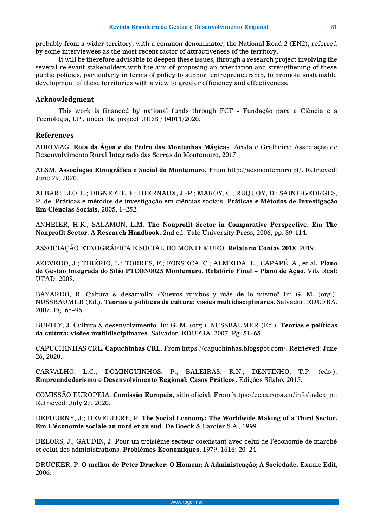probably from a wider territory, with a common denominator, the National Road 2 (EN2), referred by some interviewees as the most recent factor of attractiveness of the territory.

It will be therefore advisable to deepen these issues, through a research project involving the several relevant stakeholders with the aim of proposing an orientation and strengthening of these public policies, particularly in terms of policy to support entrepreneurship, to promote sustainable development of these territories with a view to greater efficiency and effectiveness.

# **Acknowledgment**

This work is financed by national funds through FCT - Fundação para a Ciência e a Tecnologia, I.P., under the project UIDB / 04011/2020.

# **References**

ADRIMAG. **Rota da Água e da Pedra das Montanhas Mágicas**. Arada e Gralheira: Associação de Desenvolvimento Rural Integrado das Serras do Montemuro, 2017.

AESM. **Associação Etnográfica e Social do Montemuro.** From http://aesmontemuro.pt/. Retrieved: June 29, 2020.

ALBARELLO, L.; DIGNEFFE, F.; HIERNAUX, J.-P.; MAROY, C.; RUQUOY, D.; SAINT-GEORGES, P. de. Práticas e métodos de investigação em ciências sociais. **Práticas e Métodos de Investigação Em Ciências Sociais**, 2005, 1–252.

ANHEIER, H.K.; SALAMON, L.M. **The Nonprofit Sector in Comparative Perspective. Em The Nonprofit Sector. A Research Handbook**. 2nd ed. Yale University Press, 2006, pp. 89-114.

ASSOCIAÇÃO ETNOGRÁFICA E SOCIAL DO MONTEMURO. **Relatorio Contas 2018**. 2019.

AZEVEDO, J.; TIBÉRIO, L.; TORRES, F.; FONSECA, C.; ALMEIDA, L.; CAPAPÉ, A., et al**. Plano de Gestão Integrada do Sítio PTCON0025 Montemuro. Relatório Final – Plano de Ação**. Vila Real: UTAD, 2009.

BAYARDO, R. Cultura & desarrollo: ¿Nuevos rumbos y más de lo mismo? In: G. M. (org.). NUSSBAUMER (Ed.). **Teorias e políticas da cultura: visões multidisciplinares**. Salvador. EDUFBA. 2007. Pg. 65–95.

BURITY, J. Cultura & desenvolvimento. In: G. M. (org.). NUSSBAUMER (Ed.). **Teorias e políticas da cultura: visões multidisciplinares**. Salvador. EDUFBA. 2007. Pg. 51–65.

CAPUCHINHAS CRL. **Capuchinhas CRL**. From https://capuchinhas.blogspot.com/. Retrieved: June 26, 2020.

CARVALHO, L.C.; DOMINGUINHOS, P.; BALEIRAS, R.N.; DENTINHO, T.P. (eds.). **Empreendedorismo e Desenvolvimento Regional: Casos Práticos**. Edições Sílabo, 2015.

COMISSÃO EUROPEIA. **Comissão Europeia**, sítio oficial. From https://ec.europa.eu/info/index\_pt. Retrieved: July 27, 2020.

DEFOURNY, J.; DEVELTERE, P. **The Social Economy: The Worldwide Making of a Third Sector. Em L'économie sociale au nord et au sud**. De Boeck & Larcier S.A., 1999.

DELORS, J.; GAUDIN, J. Pour un troisième secteur coexistant avec celui de l'économie de marché et celui des administrations. **Problèmes Économiques**, 1979, 1616: 20–24.

DRUCKER, P. **O melhor de Peter Drucker: O Homem; A Administração; A Sociedade**. Exame Edit, 2006.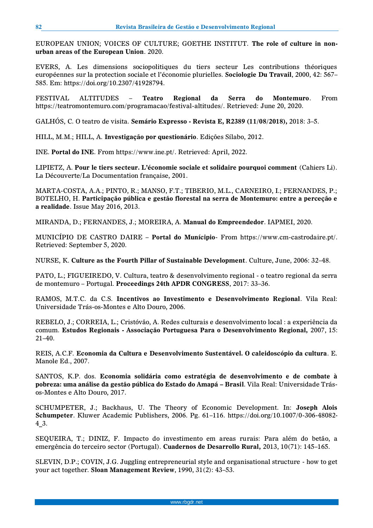EUROPEAN UNION; VOICES OF CULTURE; GOETHE INSTITUT. **The role of culture in nonurban areas of the European Union**. 2020.

EVERS, A. Les dimensions sociopolitiques du tiers secteur Les contributions théoriques européennes sur la protection sociale et l'économie plurielles. **Sociologie Du Travail**, 2000, 42: 567– 585. Em: https://doi.org/10.2307/41928794.

FESTIVAL ALTITUDES – **Teatro Regional da Serra do Montemuro**. From https://teatromontemuro.com/programacao/festival-altitudes/. Retrieved: June 20, 2020.

GALHÓS, C. O teatro de visita. **Semário Expresso - Revista E, R2389 (11/08/2018),** 2018: 3–5.

HILL, M.M.; HILL, A. **Investigação por questionário**. Edições Sílabo, 2012.

INE. **Portal do INE**. From https://www.ine.pt/. Retrieved: April, 2022.

LIPIETZ, A. **Pour le tiers secteur. L'économie sociale et solidaire pourquoi comment** (Cahiers Li). La Découverte/La Documentation française, 2001.

MARTA-COSTA, A.A.; PINTO, R.; MANSO, F.T.; TIBERIO, M.L., CARNEIRO, I.; FERNANDES, P.; BOTELHO, H. **Participação pública e gestão florestal na serra de Montemuro: entre a perceção e a realidade**. Issue May 2016, 2013.

MIRANDA, D.; FERNANDES, J.; MOREIRA, A. **Manual do Empreendedor**. IAPMEI, 2020.

MUNICÍPIO DE CASTRO DAIRE – **Portal do Munícipio**- From https://www.cm-castrodaire.pt/. Retrieved: September 5, 2020.

NURSE, K. **Culture as the Fourth Pillar of Sustainable Development**. Culture, June, 2006: 32–48.

PATO, L.; FIGUEIREDO, V. Cultura, teatro & desenvolvimento regional - o teatro regional da serra de montemuro – Portugal. **Proceedings 24th APDR CONGRESS**, 2017: 33–36.

RAMOS, M.T.C. da C.S. **Incentivos ao Investimento e Desenvolvimento Regional**. Vila Real: Universidade Trás-os-Montes e Alto Douro, 2006.

REBELO, J.; CORREIA, L.; Cristóvão, A. Redes culturais e desenvolvimento local : a experiência da comum. **Estudos Regionais - Associação Portuguesa Para o Desenvolvimento Regional,** 2007, 15: 21–40.

REIS, A.C.F. **Economia da Cultura e Desenvolvimento Sustentável. O caleidoscópio da cultura**. E. Manole Ed., 2007.

SANTOS, K.P. dos. **Economia solidária como estratégia de desenvolvimento e de combate à pobreza: uma análise da gestão pública do Estado do Amapá – Brasil**. Vila Real: Universidade Trásos-Montes e Alto Douro, 2017.

SCHUMPETER, J.; Backhaus, U. The Theory of Economic Development. In: **Joseph Alois Schumpeter**. Kluwer Academic Publishers, 2006. Pg. 61–116. https://doi.org/10.1007/0-306-48082- 4\_3.

SEQUEIRA, T.; DINIZ, F. Impacto do investimento em areas rurais: Para além do betão, a emergência do terceiro sector (Portugal). **Cuadernos de Desarrollo Rural,** 2013, 10(71): 145–165.

SLEVIN, D.P.; COVIN, J.G. Juggling entrepreneurial style and organisational structure - how to get your act together. **Sloan Management Review**, 1990, 31(2): 43–53.